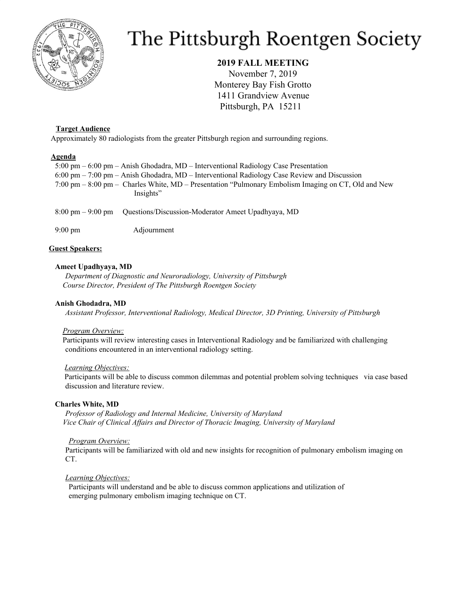

# The Pittsburgh Roentgen Society

## **2019 FALL MEETING**

November 7, 2019 Monterey Bay Fish Grotto 1411 Grandview Avenue Pittsburgh, PA 15211

## **Target Audience**

Approximately 80 radiologists from the greater Pittsburgh region and surrounding regions.

## **Agenda**

5:00 pm – 6:00 pm – Anish Ghodadra, MD – Interventional Radiology Case Presentation 6:00 pm – 7:00 pm – Anish Ghodadra, MD – Interventional Radiology Case Review and Discussion 7:00 pm – 8:00 pm – Charles White, MD – Presentation "Pulmonary Embolism Imaging on CT, Old and New Insights"

8:00 pm – 9:00 pm Questions/Discussion-Moderator Ameet Upadhyaya, MD

9:00 pm Adjournment

## **Guest Speakers:**

## **Ameet Upadhyaya, MD**

*Department of Diagnostic and Neuroradiology, University of Pittsburgh Course Director, President of The Pittsburgh Roentgen Society*

## **Anish Ghodadra, MD**

*Assistant Professor, Interventional Radiology, Medical Director, 3D Printing, University of Pittsburgh*

## *Program Overview:*

Participants will review interesting cases in Interventional Radiology and be familiarized with challenging conditions encountered in an interventional radiology setting.

## *Learning Objectives:*

Participants will be able to discuss common dilemmas and potential problem solving techniques via case based discussion and literature review.

## **Charles White, MD**

*Professor of Radiology and Internal Medicine, University of Maryland Vice Chair of Clinical Af airs and Director of Thoracic Imaging, University of Maryland*

## *Program Overview:*

Participants will be familiarized with old and new insights for recognition of pulmonary embolism imaging on CT.

## *Learning Objectives:*

Participants will understand and be able to discuss common applications and utilization of emerging pulmonary embolism imaging technique on CT.